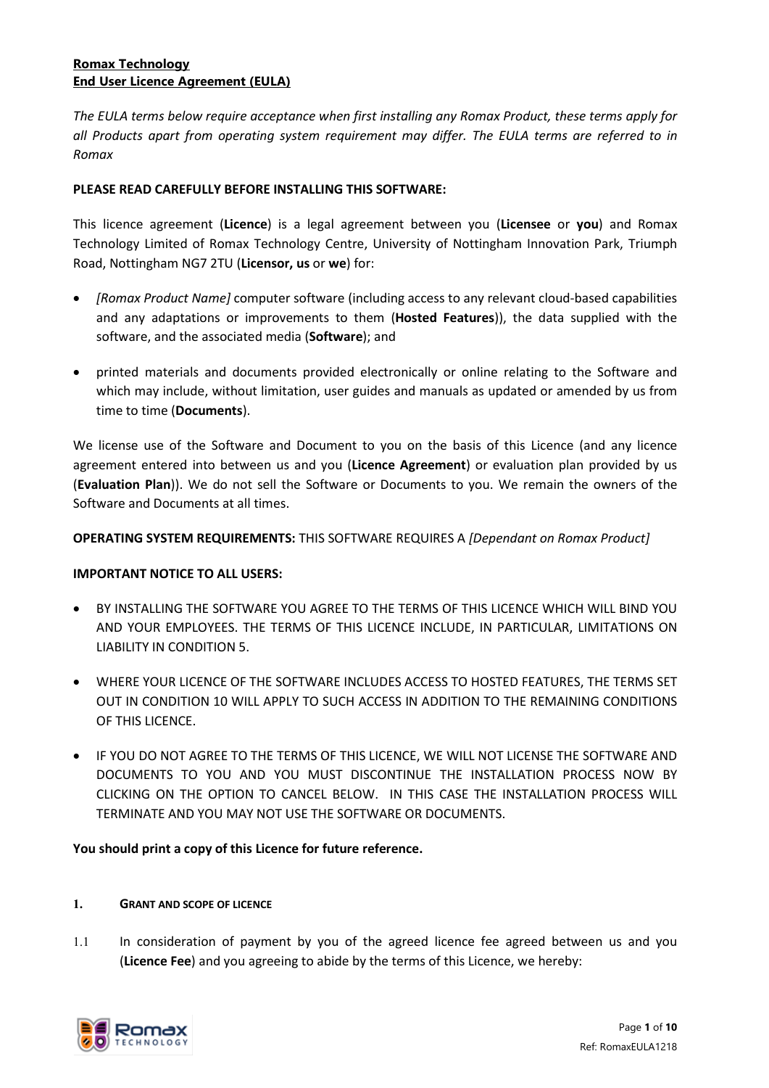# **Romax Technology End User Licence Agreement (EULA)**

*The EULA terms below require acceptance when first installing any Romax Product, these terms apply for all Products apart from operating system requirement may differ. The EULA terms are referred to in Romax* 

## **PLEASE READ CAREFULLY BEFORE INSTALLING THIS SOFTWARE:**

This licence agreement (**Licence**) is a legal agreement between you (**Licensee** or **you**) and Romax Technology Limited of Romax Technology Centre, University of Nottingham Innovation Park, Triumph Road, Nottingham NG7 2TU (**Licensor, us** or **we**) for:

- *[Romax Product Name]* computer software (including access to any relevant cloud-based capabilities and any adaptations or improvements to them (**Hosted Features**)), the data supplied with the software, and the associated media (**Software**); and
- printed materials and documents provided electronically or online relating to the Software and which may include, without limitation, user guides and manuals as updated or amended by us from time to time (**Documents**).

We license use of the Software and Document to you on the basis of this Licence (and any licence agreement entered into between us and you (**Licence Agreement**) or evaluation plan provided by us (**Evaluation Plan**)). We do not sell the Software or Documents to you. We remain the owners of the Software and Documents at all times.

## **OPERATING SYSTEM REQUIREMENTS:** THIS SOFTWARE REQUIRES A *[Dependant on Romax Product]*

### **IMPORTANT NOTICE TO ALL USERS:**

- BY INSTALLING THE SOFTWARE YOU AGREE TO THE TERMS OF THIS LICENCE WHICH WILL BIND YOU AND YOUR EMPLOYEES. THE TERMS OF THIS LICENCE INCLUDE, IN PARTICULAR, LIMITATIONS ON LIABILITY IN CONDITION [5.](#page-5-0)
- WHERE YOUR LICENCE OF THE SOFTWARE INCLUDES ACCESS TO HOSTED FEATURES, THE TERMS SET OUT IN CONDITION 10 WILL APPLY TO SUCH ACCESS IN ADDITION TO THE REMAINING CONDITIONS OF THIS LICENCE.
- IF YOU DO NOT AGREE TO THE TERMS OF THIS LICENCE, WE WILL NOT LICENSE THE SOFTWARE AND DOCUMENTS TO YOU AND YOU MUST DISCONTINUE THE INSTALLATION PROCESS NOW BY CLICKING ON THE OPTION TO CANCEL BELOW. IN THIS CASE THE INSTALLATION PROCESS WILL TERMINATE AND YOU MAY NOT USE THE SOFTWARE OR DOCUMENTS.

### **You should print a copy of this Licence for future reference.**

### **1. GRANT AND SCOPE OF LICENCE**

1.1 In consideration of payment by you of the agreed licence fee agreed between us and you (**Licence Fee**) and you agreeing to abide by the terms of this Licence, we hereby:

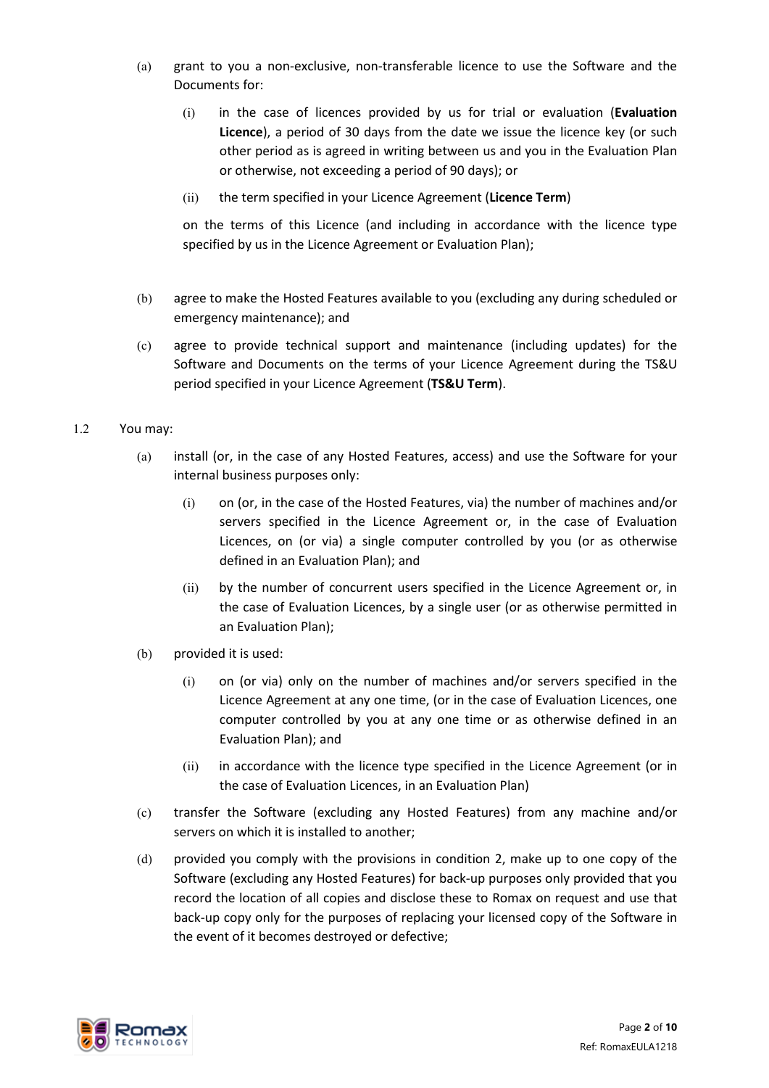- (a) grant to you a non-exclusive, non-transferable licence to use the Software and the Documents for:
	- (i) in the case of licences provided by us for trial or evaluation (**Evaluation Licence**), a period of 30 days from the date we issue the licence key (or such other period as is agreed in writing between us and you in the Evaluation Plan or otherwise, not exceeding a period of 90 days); or
	- (ii) the term specified in your Licence Agreement (**Licence Term**)

on the terms of this Licence (and including in accordance with the licence type specified by us in the Licence Agreement or Evaluation Plan);

- (b) agree to make the Hosted Features available to you (excluding any during scheduled or emergency maintenance); and
- (c) agree to provide technical support and maintenance (including updates) for the Software and Documents on the terms of your Licence Agreement during the TS&U period specified in your Licence Agreement (**TS&U Term**).
- <span id="page-1-0"></span>1.2 You may:
	- (a) install (or, in the case of any Hosted Features, access) and use the Software for your internal business purposes only:
		- (i) on (or, in the case of the Hosted Features, via) the number of machines and/or servers specified in the Licence Agreement or, in the case of Evaluation Licences, on (or via) a single computer controlled by you (or as otherwise defined in an Evaluation Plan); and
		- (ii) by the number of concurrent users specified in the Licence Agreement or, in the case of Evaluation Licences, by a single user (or as otherwise permitted in an Evaluation Plan);
	- (b) provided it is used:
		- (i) on (or via) only on the number of machines and/or servers specified in the Licence Agreement at any one time, (or in the case of Evaluation Licences, one computer controlled by you at any one time or as otherwise defined in an Evaluation Plan); and
		- (ii) in accordance with the licence type specified in the Licence Agreement (or in the case of Evaluation Licences, in an Evaluation Plan)
	- (c) transfer the Software (excluding any Hosted Features) from any machine and/or servers on which it is installed to another;
	- (d) provided you comply with the provisions in condition [2,](#page-2-0) make up to one copy of the Software (excluding any Hosted Features) for back-up purposes only provided that you record the location of all copies and disclose these to Romax on request and use that back-up copy only for the purposes of replacing your licensed copy of the Software in the event of it becomes destroyed or defective;

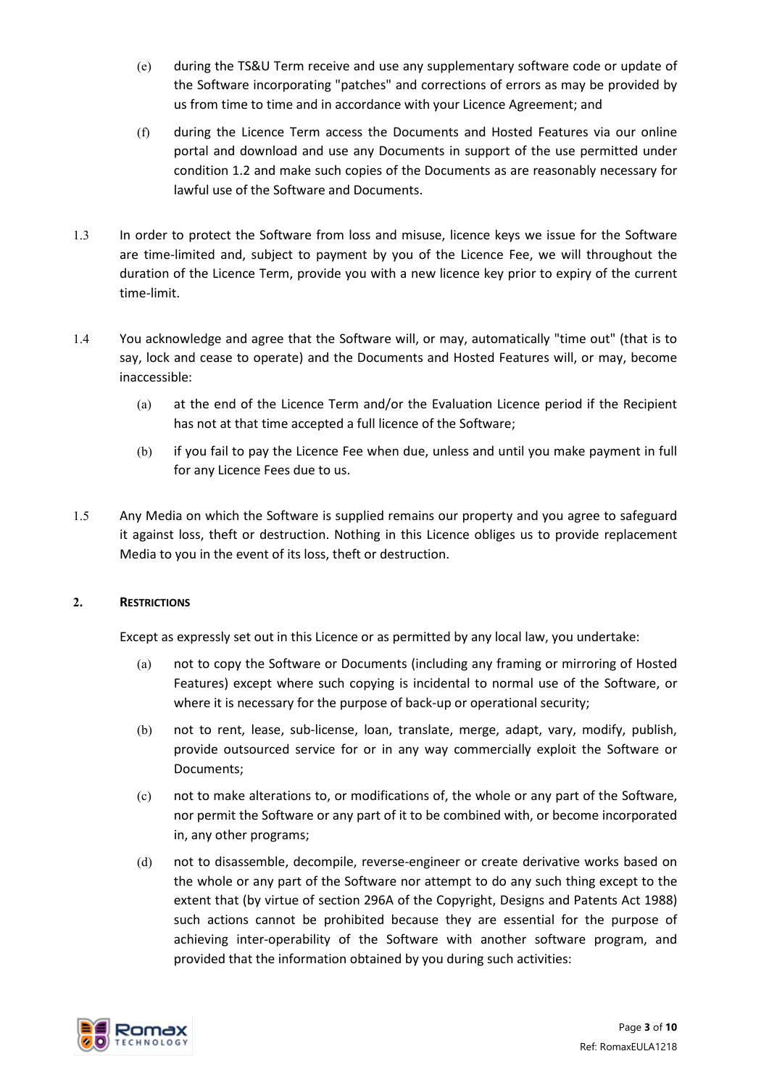- (e) during the TS&U Term receive and use any supplementary software code or update of the Software incorporating "patches" and corrections of errors as may be provided by us from time to time and in accordance with your Licence Agreement; and
- (f) during the Licence Term access the Documents and Hosted Features via our online portal and download and use any Documents in support of the use permitted under condition [1.2](#page-1-0) and make such copies of the Documents as are reasonably necessary for lawful use of the Software and Documents.
- 1.3 In order to protect the Software from loss and misuse, licence keys we issue for the Software are time-limited and, subject to payment by you of the Licence Fee, we will throughout the duration of the Licence Term, provide you with a new licence key prior to expiry of the current time-limit.
- 1.4 You acknowledge and agree that the Software will, or may, automatically "time out" (that is to say, lock and cease to operate) and the Documents and Hosted Features will, or may, become inaccessible:
	- (a) at the end of the Licence Term and/or the Evaluation Licence period if the Recipient has not at that time accepted a full licence of the Software;
	- (b) if you fail to pay the Licence Fee when due, unless and until you make payment in full for any Licence Fees due to us.
- 1.5 Any Media on which the Software is supplied remains our property and you agree to safeguard it against loss, theft or destruction. Nothing in this Licence obliges us to provide replacement Media to you in the event of its loss, theft or destruction.

## <span id="page-2-0"></span>**2. RESTRICTIONS**

Except as expressly set out in this Licence or as permitted by any local law, you undertake:

- (a) not to copy the Software or Documents (including any framing or mirroring of Hosted Features) except where such copying is incidental to normal use of the Software, or where it is necessary for the purpose of back-up or operational security;
- (b) not to rent, lease, sub-license, loan, translate, merge, adapt, vary, modify, publish, provide outsourced service for or in any way commercially exploit the Software or Documents;
- (c) not to make alterations to, or modifications of, the whole or any part of the Software, nor permit the Software or any part of it to be combined with, or become incorporated in, any other programs;
- (d) not to disassemble, decompile, reverse-engineer or create derivative works based on the whole or any part of the Software nor attempt to do any such thing except to the extent that (by virtue of section 296A of the Copyright, Designs and Patents Act 1988) such actions cannot be prohibited because they are essential for the purpose of achieving inter-operability of the Software with another software program, and provided that the information obtained by you during such activities:

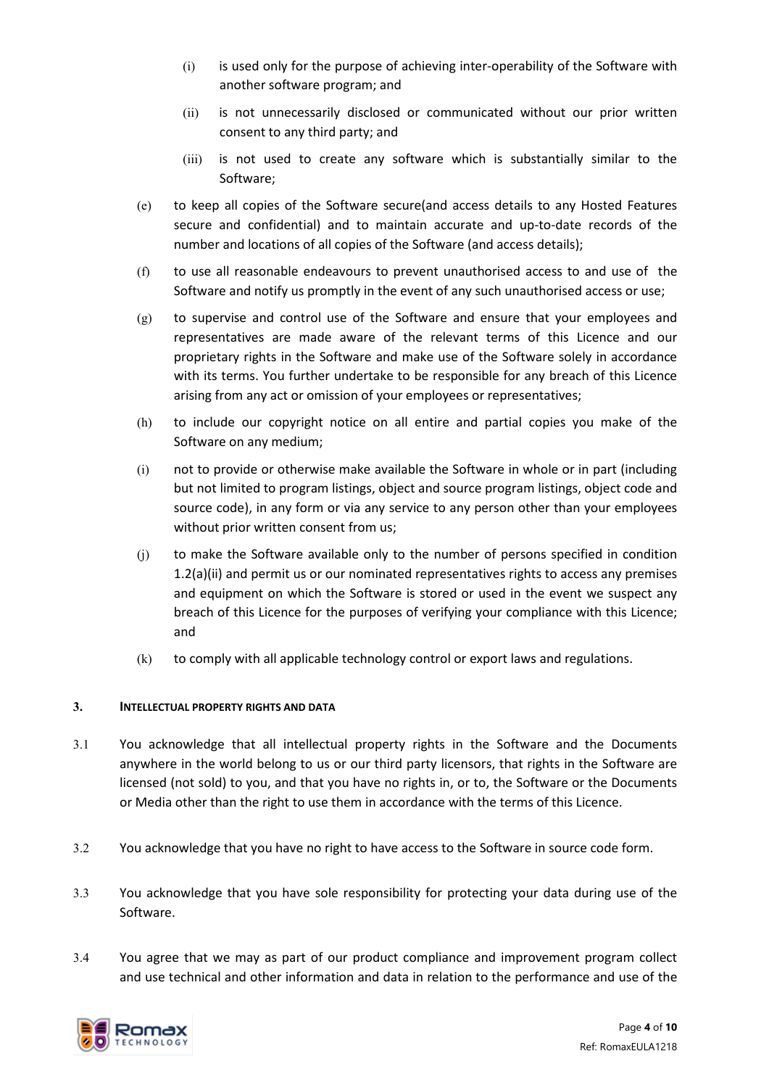- (i) is used only for the purpose of achieving inter-operability of the Software with another software program; and
- (ii) is not unnecessarily disclosed or communicated without our prior written consent to any third party; and
- (iii) is not used to create any software which is substantially similar to the Software;
- (e) to keep all copies of the Software secure(and access details to any Hosted Features secure and confidential) and to maintain accurate and up-to-date records of the number and locations of all copies of the Software (and access details);
- (f) to use all reasonable endeavours to prevent unauthorised access to and use of the Software and notify us promptly in the event of any such unauthorised access or use;
- (g) to supervise and control use of the Software and ensure that your employees and representatives are made aware of the relevant terms of this Licence and our proprietary rights in the Software and make use of the Software solely in accordance with its terms. You further undertake to be responsible for any breach of this Licence arising from any act or omission of your employees or representatives;
- (h) to include our copyright notice on all entire and partial copies you make of the Software on any medium;
- (i) not to provide or otherwise make available the Software in whole or in part (including but not limited to program listings, object and source program listings, object code and source code), in any form or via any service to any person other than your employees without prior written consent from us;
- (j) to make the Software available only to the number of persons specified in condition 1.2(a)(ii) and permit us or our nominated representatives rights to access any premises and equipment on which the Software is stored or used in the event we suspect any breach of this Licence for the purposes of verifying your compliance with this Licence; and
- (k) to comply with all applicable technology control or export laws and regulations.

## **3. INTELLECTUAL PROPERTY RIGHTS AND DATA**

- 3.1 You acknowledge that all intellectual property rights in the Software and the Documents anywhere in the world belong to us or our third party licensors, that rights in the Software are licensed (not sold) to you, and that you have no rights in, or to, the Software or the Documents or Media other than the right to use them in accordance with the terms of this Licence.
- 3.2 You acknowledge that you have no right to have access to the Software in source code form.
- 3.3 You acknowledge that you have sole responsibility for protecting your data during use of the Software.
- 3.4 You agree that we may as part of our product compliance and improvement program collect and use technical and other information and data in relation to the performance and use of the

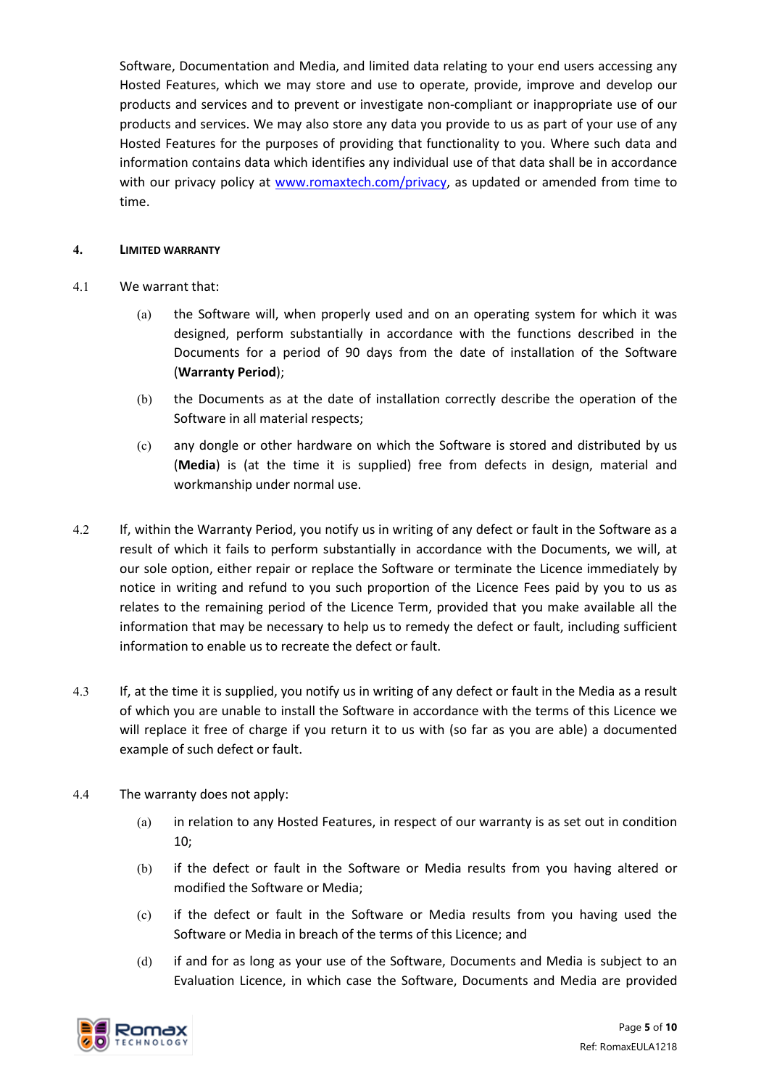Software, Documentation and Media, and limited data relating to your end users accessing any Hosted Features, which we may store and use to operate, provide, improve and develop our products and services and to prevent or investigate non-compliant or inappropriate use of our products and services. We may also store any data you provide to us as part of your use of any Hosted Features for the purposes of providing that functionality to you. Where such data and information contains data which identifies any individual use of that data shall be in accordance with our privacy policy at [www.romaxtech.com/privacy,](http://www.romaxtech.com/privacy) as updated or amended from time to time.

### **4. LIMITED WARRANTY**

- 4.1 We warrant that:
	- (a) the Software will, when properly used and on an operating system for which it was designed, perform substantially in accordance with the functions described in the Documents for a period of 90 days from the date of installation of the Software (**Warranty Period**);
	- (b) the Documents as at the date of installation correctly describe the operation of the Software in all material respects;
	- (c) any dongle or other hardware on which the Software is stored and distributed by us (**Media**) is (at the time it is supplied) free from defects in design, material and workmanship under normal use.
- 4.2 If, within the Warranty Period, you notify us in writing of any defect or fault in the Software as a result of which it fails to perform substantially in accordance with the Documents, we will, at our sole option, either repair or replace the Software or terminate the Licence immediately by notice in writing and refund to you such proportion of the Licence Fees paid by you to us as relates to the remaining period of the Licence Term, provided that you make available all the information that may be necessary to help us to remedy the defect or fault, including sufficient information to enable us to recreate the defect or fault.
- 4.3 If, at the time it is supplied, you notify us in writing of any defect or fault in the Media as a result of which you are unable to install the Software in accordance with the terms of this Licence we will replace it free of charge if you return it to us with (so far as you are able) a documented example of such defect or fault.
- 4.4 The warranty does not apply:
	- (a) in relation to any Hosted Features, in respect of our warranty is as set out in condition 10;
	- (b) if the defect or fault in the Software or Media results from you having altered or modified the Software or Media;
	- (c) if the defect or fault in the Software or Media results from you having used the Software or Media in breach of the terms of this Licence; and
	- (d) if and for as long as your use of the Software, Documents and Media is subject to an Evaluation Licence, in which case the Software, Documents and Media are provided

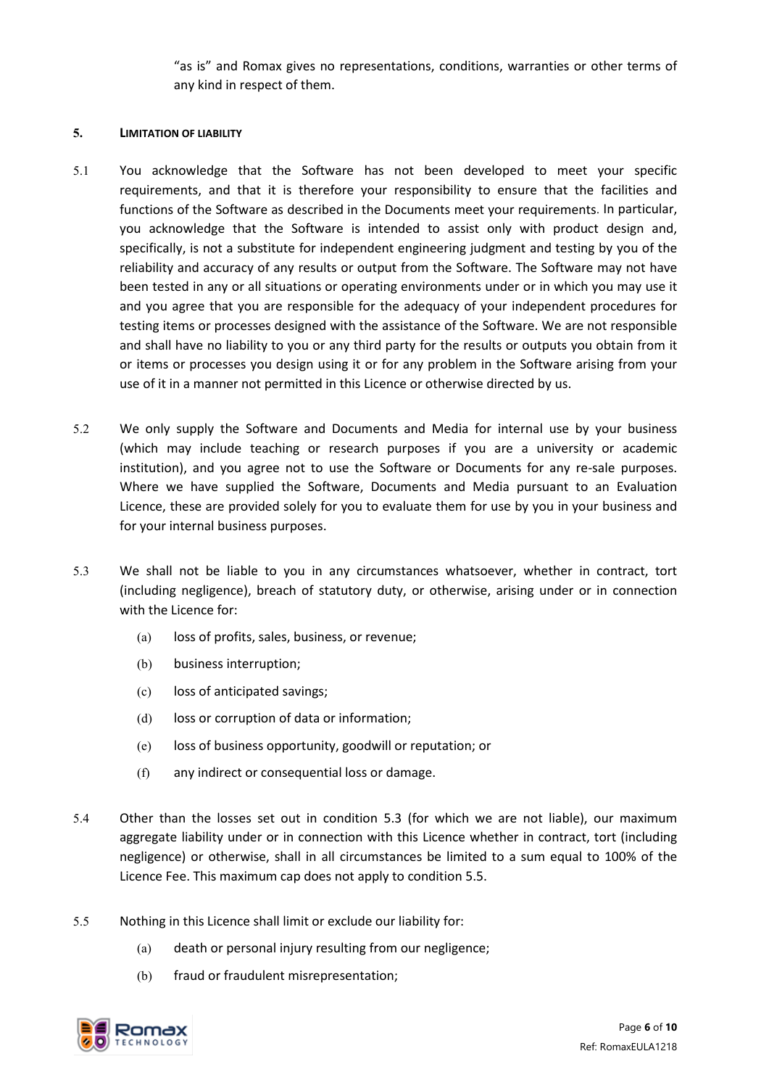"as is" and Romax gives no representations, conditions, warranties or other terms of any kind in respect of them.

### <span id="page-5-0"></span>**5. LIMITATION OF LIABILITY**

- 5.1 You acknowledge that the Software has not been developed to meet your specific requirements, and that it is therefore your responsibility to ensure that the facilities and functions of the Software as described in the Documents meet your requirements. In particular, you acknowledge that the Software is intended to assist only with product design and, specifically, is not a substitute for independent engineering judgment and testing by you of the reliability and accuracy of any results or output from the Software. The Software may not have been tested in any or all situations or operating environments under or in which you may use it and you agree that you are responsible for the adequacy of your independent procedures for testing items or processes designed with the assistance of the Software. We are not responsible and shall have no liability to you or any third party for the results or outputs you obtain from it or items or processes you design using it or for any problem in the Software arising from your use of it in a manner not permitted in this Licence or otherwise directed by us.
- 5.2 We only supply the Software and Documents and Media for internal use by your business (which may include teaching or research purposes if you are a university or academic institution), and you agree not to use the Software or Documents for any re-sale purposes. Where we have supplied the Software, Documents and Media pursuant to an Evaluation Licence, these are provided solely for you to evaluate them for use by you in your business and for your internal business purposes.
- 5.3 We shall not be liable to you in any circumstances whatsoever, whether in contract, tort (including negligence), breach of statutory duty, or otherwise, arising under or in connection with the Licence for:
	- (a) loss of profits, sales, business, or revenue;
	- (b) business interruption;
	- (c) loss of anticipated savings;
	- (d) loss or corruption of data or information;
	- (e) loss of business opportunity, goodwill or reputation; or
	- (f) any indirect or consequential loss or damage.
- 5.4 Other than the losses set out in condition 5.3 (for which we are not liable), our maximum aggregate liability under or in connection with this Licence whether in contract, tort (including negligence) or otherwise, shall in all circumstances be limited to a sum equal to 100% of the Licence Fee. This maximum cap does not apply to conditio[n 5.5.](#page-5-1)
- <span id="page-5-1"></span>5.5 Nothing in this Licence shall limit or exclude our liability for:
	- (a) death or personal injury resulting from our negligence;
	- (b) fraud or fraudulent misrepresentation;

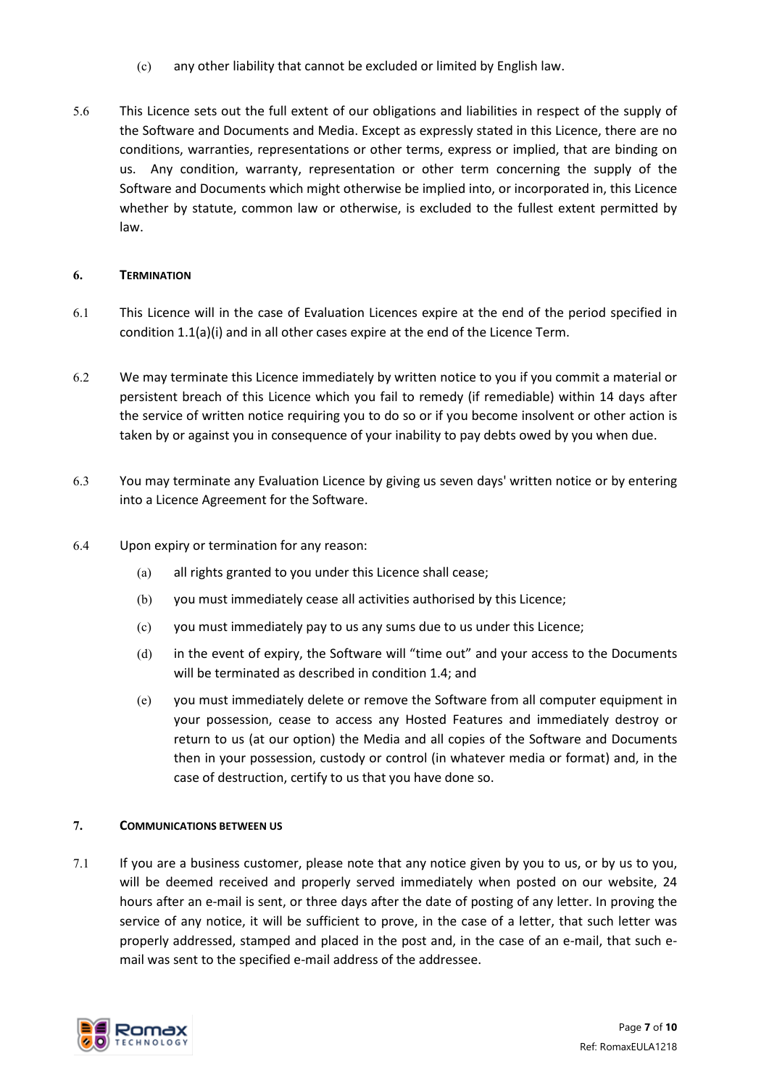- (c) any other liability that cannot be excluded or limited by English law.
- 5.6 This Licence sets out the full extent of our obligations and liabilities in respect of the supply of the Software and Documents and Media. Except as expressly stated in this Licence, there are no conditions, warranties, representations or other terms, express or implied, that are binding on us. Any condition, warranty, representation or other term concerning the supply of the Software and Documents which might otherwise be implied into, or incorporated in, this Licence whether by statute, common law or otherwise, is excluded to the fullest extent permitted by law.

### **6. TERMINATION**

- 6.1 This Licence will in the case of Evaluation Licences expire at the end of the period specified in condition 1.1(a)(i) and in all other cases expire at the end of the Licence Term.
- 6.2 We may terminate this Licence immediately by written notice to you if you commit a material or persistent breach of this Licence which you fail to remedy (if remediable) within 14 days after the service of written notice requiring you to do so or if you become insolvent or other action is taken by or against you in consequence of your inability to pay debts owed by you when due.
- 6.3 You may terminate any Evaluation Licence by giving us seven days' written notice or by entering into a Licence Agreement for the Software.
- 6.4 Upon expiry or termination for any reason:
	- (a) all rights granted to you under this Licence shall cease;
	- (b) you must immediately cease all activities authorised by this Licence;
	- (c) you must immediately pay to us any sums due to us under this Licence;
	- (d) in the event of expiry, the Software will "time out" and your access to the Documents will be terminated as described in condition 1.4; and
	- (e) you must immediately delete or remove the Software from all computer equipment in your possession, cease to access any Hosted Features and immediately destroy or return to us (at our option) the Media and all copies of the Software and Documents then in your possession, custody or control (in whatever media or format) and, in the case of destruction, certify to us that you have done so.

## **7. COMMUNICATIONS BETWEEN US**

7.1 If you are a business customer, please note that any notice given by you to us, or by us to you, will be deemed received and properly served immediately when posted on our website, 24 hours after an e-mail is sent, or three days after the date of posting of any letter. In proving the service of any notice, it will be sufficient to prove, in the case of a letter, that such letter was properly addressed, stamped and placed in the post and, in the case of an e-mail, that such email was sent to the specified e-mail address of the addressee.

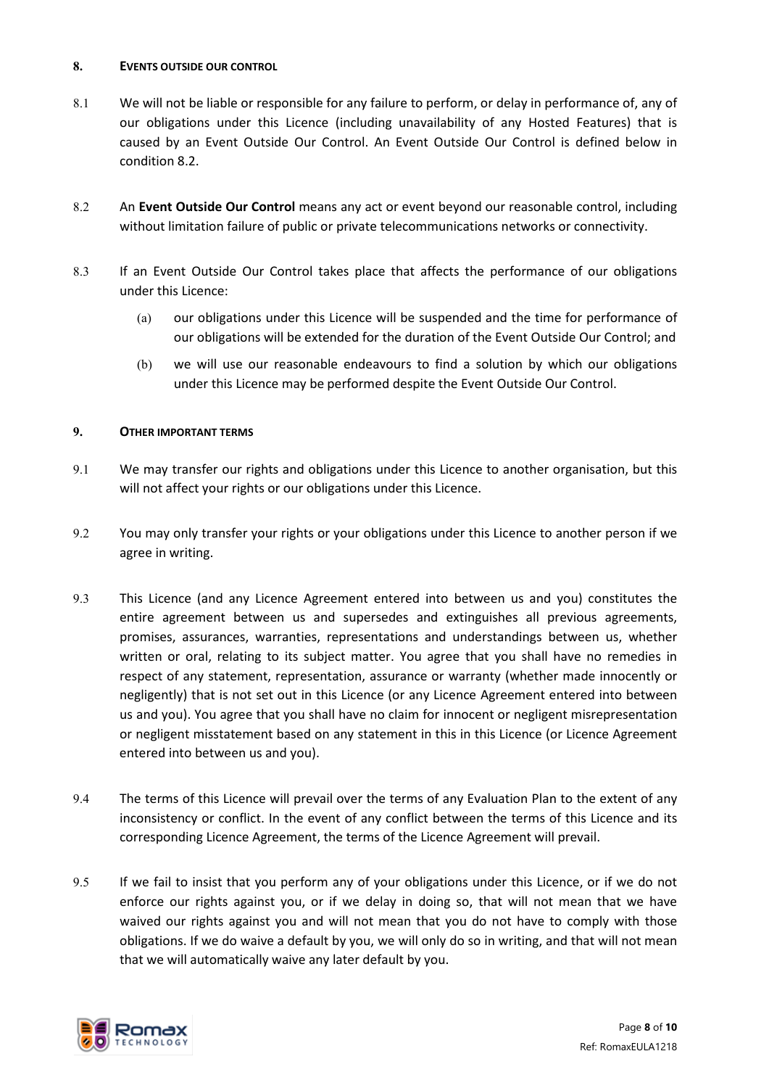#### **8. EVENTS OUTSIDE OUR CONTROL**

- 8.1 We will not be liable or responsible for any failure to perform, or delay in performance of, any of our obligations under this Licence (including unavailability of any Hosted Features) that is caused by an Event Outside Our Control. An Event Outside Our Control is defined below in conditio[n 8.2.](#page-7-0)
- <span id="page-7-0"></span>8.2 An **Event Outside Our Control** means any act or event beyond our reasonable control, including without limitation failure of public or private telecommunications networks or connectivity.
- 8.3 If an Event Outside Our Control takes place that affects the performance of our obligations under this Licence:
	- (a) our obligations under this Licence will be suspended and the time for performance of our obligations will be extended for the duration of the Event Outside Our Control; and
	- (b) we will use our reasonable endeavours to find a solution by which our obligations under this Licence may be performed despite the Event Outside Our Control.

## **9. OTHER IMPORTANT TERMS**

- 9.1 We may transfer our rights and obligations under this Licence to another organisation, but this will not affect your rights or our obligations under this Licence.
- 9.2 You may only transfer your rights or your obligations under this Licence to another person if we agree in writing.
- 9.3 This Licence (and any Licence Agreement entered into between us and you) constitutes the entire agreement between us and supersedes and extinguishes all previous agreements, promises, assurances, warranties, representations and understandings between us, whether written or oral, relating to its subject matter. You agree that you shall have no remedies in respect of any statement, representation, assurance or warranty (whether made innocently or negligently) that is not set out in this Licence (or any Licence Agreement entered into between us and you). You agree that you shall have no claim for innocent or negligent misrepresentation or negligent misstatement based on any statement in this in this Licence (or Licence Agreement entered into between us and you).
- 9.4 The terms of this Licence will prevail over the terms of any Evaluation Plan to the extent of any inconsistency or conflict. In the event of any conflict between the terms of this Licence and its corresponding Licence Agreement, the terms of the Licence Agreement will prevail.
- 9.5 If we fail to insist that you perform any of your obligations under this Licence, or if we do not enforce our rights against you, or if we delay in doing so, that will not mean that we have waived our rights against you and will not mean that you do not have to comply with those obligations. If we do waive a default by you, we will only do so in writing, and that will not mean that we will automatically waive any later default by you.

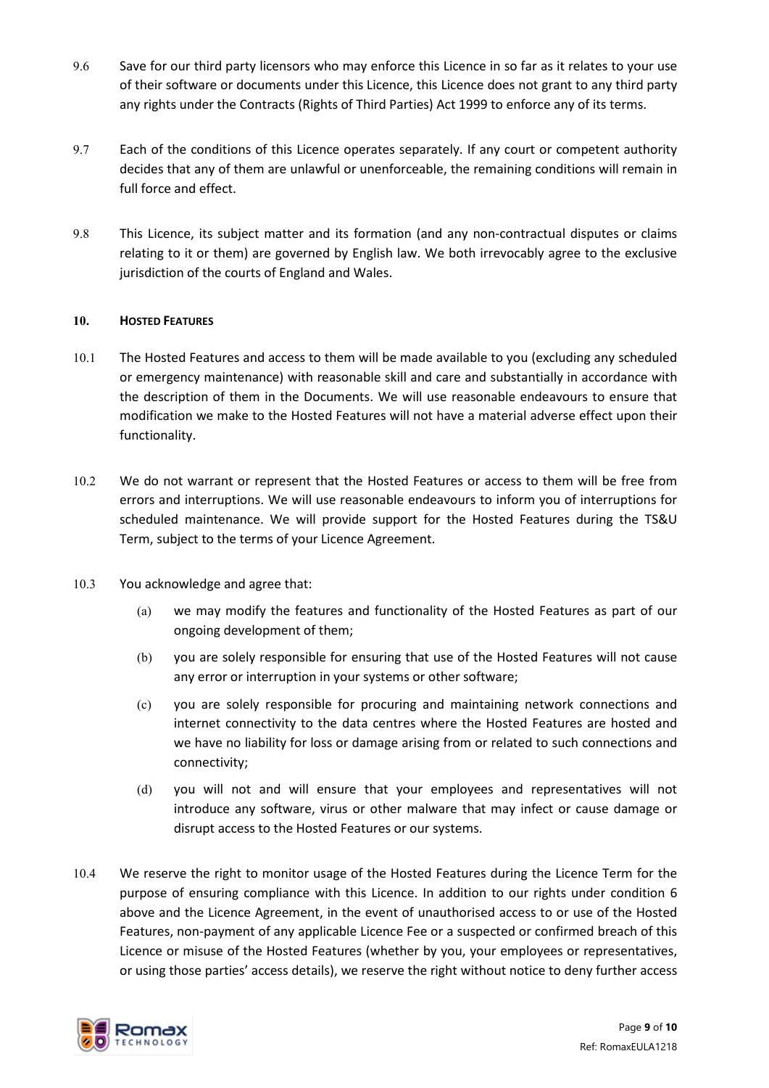- 9.6 Save for our third party licensors who may enforce this Licence in so far as it relates to your use of their software or documents under this Licence, this Licence does not grant to any third party any rights under the Contracts (Rights of Third Parties) Act 1999 to enforce any of its terms.
- 9.7 Each of the conditions of this Licence operates separately. If any court or competent authority decides that any of them are unlawful or unenforceable, the remaining conditions will remain in full force and effect.
- 9.8 This Licence, its subject matter and its formation (and any non-contractual disputes or claims relating to it or them) are governed by English law. We both irrevocably agree to the exclusive jurisdiction of the courts of England and Wales.

## **10. HOSTED FEATURES**

- 10.1 The Hosted Features and access to them will be made available to you (excluding any scheduled or emergency maintenance) with reasonable skill and care and substantially in accordance with the description of them in the Documents. We will use reasonable endeavours to ensure that modification we make to the Hosted Features will not have a material adverse effect upon their functionality.
- 10.2 We do not warrant or represent that the Hosted Features or access to them will be free from errors and interruptions. We will use reasonable endeavours to inform you of interruptions for scheduled maintenance. We will provide support for the Hosted Features during the TS&U Term, subject to the terms of your Licence Agreement.
- 10.3 You acknowledge and agree that:
	- (a) we may modify the features and functionality of the Hosted Features as part of our ongoing development of them;
	- (b) you are solely responsible for ensuring that use of the Hosted Features will not cause any error or interruption in your systems or other software;
	- (c) you are solely responsible for procuring and maintaining network connections and internet connectivity to the data centres where the Hosted Features are hosted and we have no liability for loss or damage arising from or related to such connections and connectivity;
	- (d) you will not and will ensure that your employees and representatives will not introduce any software, virus or other malware that may infect or cause damage or disrupt access to the Hosted Features or our systems.
- 10.4 We reserve the right to monitor usage of the Hosted Features during the Licence Term for the purpose of ensuring compliance with this Licence. In addition to our rights under condition 6 above and the Licence Agreement, in the event of unauthorised access to or use of the Hosted Features, non-payment of any applicable Licence Fee or a suspected or confirmed breach of this Licence or misuse of the Hosted Features (whether by you, your employees or representatives, or using those parties' access details), we reserve the right without notice to deny further access